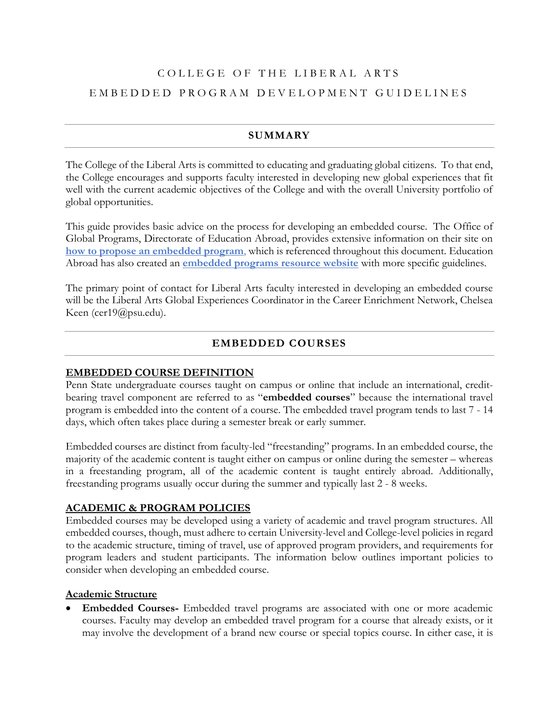# COLLEGE OF THE LIBERAL ARTS EMBEDDED PROGRAM DEVELOPMENT GUIDELINES

# **SUMMARY**

The College of the Liberal Arts is committed to educating and graduating global citizens. To that end, the College encourages and supports faculty interested in developing new global experiences that fit well with the current academic objectives of the College and with the overall University portfolio of global opportunities.

This guide provides basic advice on the process for developing an embedded course. The Office of Global Programs, Directorate of Education Abroad, provides extensive information on their site on **[how to propose an embedded program](https://global.psu.edu/category/develop-or-renew-faculty-led-embedded-program)**, which is referenced throughout this document. Education Abroad has also created an **[embedded programs resource website](https://sites.psu.edu/eaembeddedprograms/)** with more specific guidelines.

The primary point of contact for Liberal Arts faculty interested in developing an embedded course will be the Liberal Arts Global Experiences Coordinator in the Career Enrichment Network, Chelsea Keen (cer19@psu.edu).

# **EMBEDDED COURSES**

### **EMBEDDED COURSE DEFINITION**

Penn State undergraduate courses taught on campus or online that include an international, creditbearing travel component are referred to as "**embedded courses**" because the international travel program is embedded into the content of a course. The embedded travel program tends to last 7 - 14 days, which often takes place during a semester break or early summer.

Embedded courses are distinct from faculty-led "freestanding" programs. In an embedded course, the majority of the academic content is taught either on campus or online during the semester – whereas in a freestanding program, all of the academic content is taught entirely abroad. Additionally, freestanding programs usually occur during the summer and typically last 2 - 8 weeks.

### **ACADEMIC & PROGRAM POLICIES**

Embedded courses may be developed using a variety of academic and travel program structures. All embedded courses, though, must adhere to certain University-level and College-level policies in regard to the academic structure, timing of travel, use of approved program providers, and requirements for program leaders and student participants. The information below outlines important policies to consider when developing an embedded course.

### **Academic Structure**

• **Embedded Courses-** Embedded travel programs are associated with one or more academic courses. Faculty may develop an embedded travel program for a course that already exists, or it may involve the development of a brand new course or special topics course. In either case, it is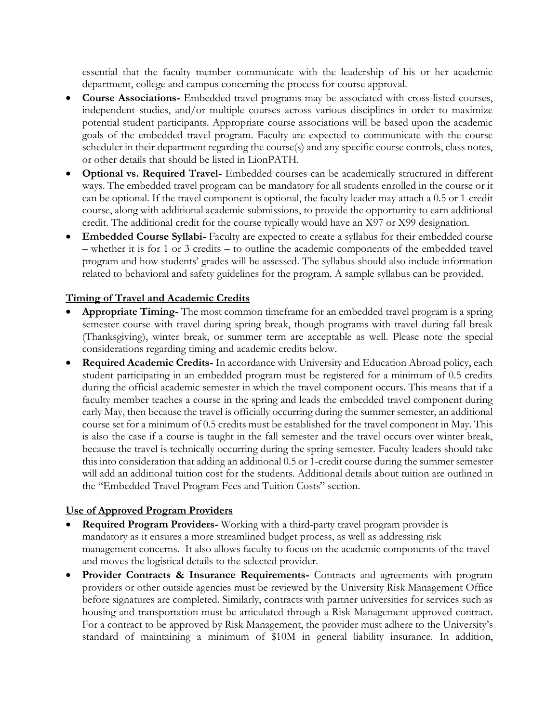essential that the faculty member communicate with the leadership of his or her academic department, college and campus concerning the process for course approval.

- **Course Associations-** Embedded travel programs may be associated with cross-listed courses, independent studies, and/or multiple courses across various disciplines in order to maximize potential student participants. Appropriate course associations will be based upon the academic goals of the embedded travel program. Faculty are expected to communicate with the course scheduler in their department regarding the course(s) and any specific course controls, class notes, or other details that should be listed in LionPATH.
- **Optional vs. Required Travel-** Embedded courses can be academically structured in different ways. The embedded travel program can be mandatory for all students enrolled in the course or it can be optional. If the travel component is optional, the faculty leader may attach a 0.5 or 1-credit course, along with additional academic submissions, to provide the opportunity to earn additional credit. The additional credit for the course typically would have an X97 or X99 designation.
- **Embedded Course Syllabi-** Faculty are expected to create a syllabus for their embedded course – whether it is for 1 or 3 credits – to outline the academic components of the embedded travel program and how students' grades will be assessed. The syllabus should also include information related to behavioral and safety guidelines for the program. A sample syllabus can be provided.

### **Timing of Travel and Academic Credits**

- **Appropriate Timing-** The most common timeframe for an embedded travel program is a spring semester course with travel during spring break, though programs with travel during fall break (Thanksgiving), winter break, or summer term are acceptable as well. Please note the special considerations regarding timing and academic credits below.
- **Required Academic Credits-** In accordance with University and Education Abroad policy, each student participating in an embedded program must be registered for a minimum of 0.5 credits during the official academic semester in which the travel component occurs. This means that if a faculty member teaches a course in the spring and leads the embedded travel component during early May, then because the travel is officially occurring during the summer semester, an additional course set for a minimum of 0.5 credits must be established for the travel component in May. This is also the case if a course is taught in the fall semester and the travel occurs over winter break, because the travel is technically occurring during the spring semester. Faculty leaders should take this into consideration that adding an additional 0.5 or 1-credit course during the summer semester will add an additional tuition cost for the students. Additional details about tuition are outlined in the "Embedded Travel Program Fees and Tuition Costs" section.

### **Use of Approved Program Providers**

- **Required Program Providers-** Working with a third-party travel program provider is mandatory as it ensures a more streamlined budget process, as well as addressing risk management concerns. It also allows faculty to focus on the academic components of the travel and moves the logistical details to the selected provider.
- **Provider Contracts & Insurance Requirements-** Contracts and agreements with program providers or other outside agencies must be reviewed by the University Risk Management Office before signatures are completed. Similarly, contracts with partner universities for services such as housing and transportation must be articulated through a Risk Management-approved contract. For a contract to be approved by Risk Management, the provider must adhere to the University's standard of maintaining a minimum of \$10M in general liability insurance. In addition,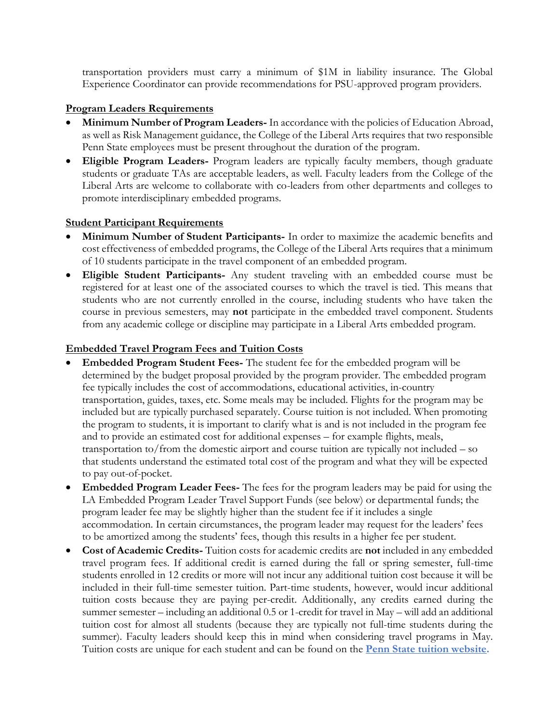transportation providers must carry a minimum of \$1M in liability insurance. The Global Experience Coordinator can provide recommendations for PSU-approved program providers.

### **Program Leaders Requirements**

- **Minimum Number of Program Leaders-** In accordance with the policies of Education Abroad, as well as Risk Management guidance, the College of the Liberal Arts requires that two responsible Penn State employees must be present throughout the duration of the program.
- **Eligible Program Leaders-** Program leaders are typically faculty members, though graduate students or graduate TAs are acceptable leaders, as well. Faculty leaders from the College of the Liberal Arts are welcome to collaborate with co-leaders from other departments and colleges to promote interdisciplinary embedded programs.

### **Student Participant Requirements**

- **Minimum Number of Student Participants-** In order to maximize the academic benefits and cost effectiveness of embedded programs, the College of the Liberal Arts requires that a minimum of 10 students participate in the travel component of an embedded program.
- **Eligible Student Participants-** Any student traveling with an embedded course must be registered for at least one of the associated courses to which the travel is tied. This means that students who are not currently enrolled in the course, including students who have taken the course in previous semesters, may **not** participate in the embedded travel component. Students from any academic college or discipline may participate in a Liberal Arts embedded program.

### **Embedded Travel Program Fees and Tuition Costs**

- **Embedded Program Student Fees-** The student fee for the embedded program will be determined by the budget proposal provided by the program provider. The embedded program fee typically includes the cost of accommodations, educational activities, in-country transportation, guides, taxes, etc. Some meals may be included. Flights for the program may be included but are typically purchased separately. Course tuition is not included. When promoting the program to students, it is important to clarify what is and is not included in the program fee and to provide an estimated cost for additional expenses – for example flights, meals, transportation to/from the domestic airport and course tuition are typically not included – so that students understand the estimated total cost of the program and what they will be expected to pay out-of-pocket.
- **Embedded Program Leader Fees-** The fees for the program leaders may be paid for using the LA Embedded Program Leader Travel Support Funds (see below) or departmental funds; the program leader fee may be slightly higher than the student fee if it includes a single accommodation. In certain circumstances, the program leader may request for the leaders' fees to be amortized among the students' fees, though this results in a higher fee per student.
- **Cost of Academic Credits-** Tuition costs for academic credits are **not** included in any embedded travel program fees. If additional credit is earned during the fall or spring semester, full-time students enrolled in 12 credits or more will not incur any additional tuition cost because it will be included in their full-time semester tuition. Part-time students, however, would incur additional tuition costs because they are paying per-credit. Additionally, any credits earned during the summer semester – including an additional 0.5 or 1-credit for travel in May – will add an additional tuition cost for almost all students (because they are typically not full-time students during the summer). Faculty leaders should keep this in mind when considering travel programs in May. Tuition costs are unique for each student and can be found on the **[Penn State tuition website.](http://tuition.psu.edu/tuitiondynamic/tuitionandfees.aspx)**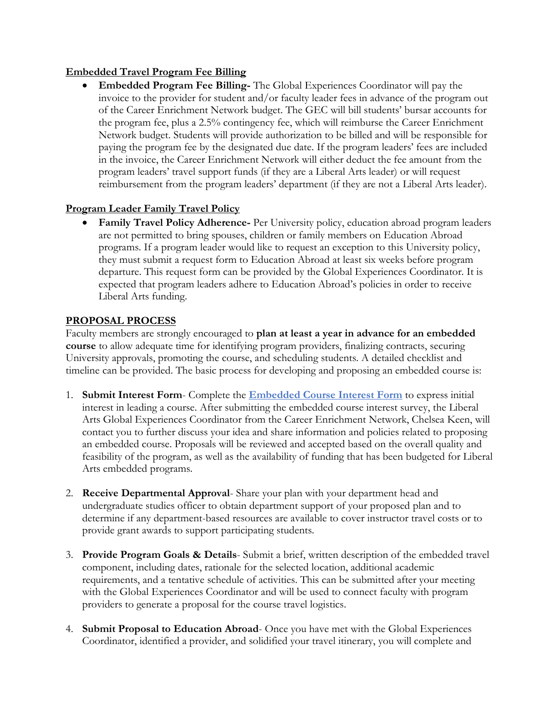### **Embedded Travel Program Fee Billing**

• **Embedded Program Fee Billing-** The Global Experiences Coordinator will pay the invoice to the provider for student and/or faculty leader fees in advance of the program out of the Career Enrichment Network budget. The GEC will bill students' bursar accounts for the program fee, plus a 2.5% contingency fee, which will reimburse the Career Enrichment Network budget. Students will provide authorization to be billed and will be responsible for paying the program fee by the designated due date. If the program leaders' fees are included in the invoice, the Career Enrichment Network will either deduct the fee amount from the program leaders' travel support funds (if they are a Liberal Arts leader) or will request reimbursement from the program leaders' department (if they are not a Liberal Arts leader).

# **Program Leader Family Travel Policy**

• **Family Travel Policy Adherence-** Per University policy, education abroad program leaders are not permitted to bring spouses, children or family members on Education Abroad programs. If a program leader would like to request an exception to this University policy, they must submit a request form to Education Abroad at least six weeks before program departure. This request form can be provided by the Global Experiences Coordinator. It is expected that program leaders adhere to Education Abroad's policies in order to receive Liberal Arts funding.

### **PROPOSAL PROCESS**

Faculty members are strongly encouraged to **plan at least a year in advance for an embedded course** to allow adequate time for identifying program providers, finalizing contracts, securing University approvals, promoting the course, and scheduling students. A detailed checklist and timeline can be provided. The basic process for developing and proposing an embedded course is:

- 1. **Submit Interest Form** Complete the **[Embedded Course Interest Form](https://docs.google.com/forms/d/e/1FAIpQLSd9zFgAuxBXQ8qP5mBzWxMhwarEatb7gMorFV66cifg9xkIaA/viewform?usp=sf_link)** to express initial interest in leading a course. After submitting the embedded course interest survey, the Liberal Arts Global Experiences Coordinator from the Career Enrichment Network, Chelsea Keen, will contact you to further discuss your idea and share information and policies related to proposing an embedded course. Proposals will be reviewed and accepted based on the overall quality and feasibility of the program, as well as the availability of funding that has been budgeted for Liberal Arts embedded programs.
- 2. **Receive Departmental Approval** Share your plan with your department head and undergraduate studies officer to obtain department support of your proposed plan and to determine if any department-based resources are available to cover instructor travel costs or to provide grant awards to support participating students.
- 3. **Provide Program Goals & Details** Submit a brief, written description of the embedded travel component, including dates, rationale for the selected location, additional academic requirements, and a tentative schedule of activities. This can be submitted after your meeting with the Global Experiences Coordinator and will be used to connect faculty with program providers to generate a proposal for the course travel logistics.
- 4. **Submit Proposal to Education Abroad** Once you have met with the Global Experiences Coordinator, identified a provider, and solidified your travel itinerary, you will complete and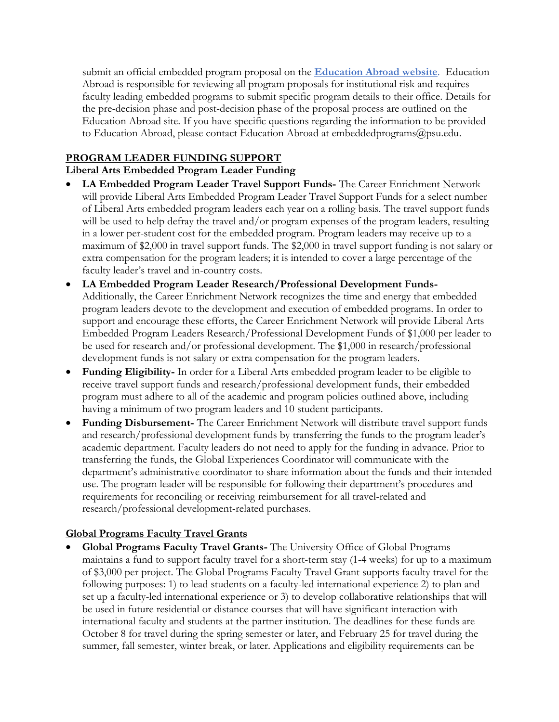submit an official embedded program proposal on the **[Education Abroad website](https://gpglobalea.gp.psu.edu/index.cfm?FuseAction=Programs.ViewProgram&Program_ID=10783)**. Education Abroad is responsible for reviewing all program proposals for institutional risk and requires faculty leading embedded programs to submit specific program details to their office. Details for the pre-decision phase and post-decision phase of the proposal process are outlined on the Education Abroad site. If you have specific questions regarding the information to be provided to Education Abroad, please contact Education Abroad at embeddedprograms@psu.edu.

# **PROGRAM LEADER FUNDING SUPPORT**

# **Liberal Arts Embedded Program Leader Funding**

- **LA Embedded Program Leader Travel Support Funds-** The Career Enrichment Network will provide Liberal Arts Embedded Program Leader Travel Support Funds for a select number of Liberal Arts embedded program leaders each year on a rolling basis. The travel support funds will be used to help defray the travel and/or program expenses of the program leaders, resulting in a lower per-student cost for the embedded program. Program leaders may receive up to a maximum of \$2,000 in travel support funds. The \$2,000 in travel support funding is not salary or extra compensation for the program leaders; it is intended to cover a large percentage of the faculty leader's travel and in-country costs.
- **LA Embedded Program Leader Research/Professional Development Funds-**Additionally, the Career Enrichment Network recognizes the time and energy that embedded program leaders devote to the development and execution of embedded programs. In order to support and encourage these efforts, the Career Enrichment Network will provide Liberal Arts Embedded Program Leaders Research/Professional Development Funds of \$1,000 per leader to be used for research and/or professional development. The \$1,000 in research/professional development funds is not salary or extra compensation for the program leaders.
- **Funding Eligibility-** In order for a Liberal Arts embedded program leader to be eligible to receive travel support funds and research/professional development funds, their embedded program must adhere to all of the academic and program policies outlined above, including having a minimum of two program leaders and 10 student participants.
- **Funding Disbursement-** The Career Enrichment Network will distribute travel support funds and research/professional development funds by transferring the funds to the program leader's academic department. Faculty leaders do not need to apply for the funding in advance. Prior to transferring the funds, the Global Experiences Coordinator will communicate with the department's administrative coordinator to share information about the funds and their intended use. The program leader will be responsible for following their department's procedures and requirements for reconciling or receiving reimbursement for all travel-related and research/professional development-related purchases.

# **Global Programs Faculty Travel Grants**

• **Global Programs Faculty Travel Grants-** The University Office of Global Programs maintains a fund to support faculty travel for a short-term stay (1-4 weeks) for up to a maximum of \$3,000 per project. The Global Programs Faculty Travel Grant supports faculty travel for the following purposes: 1) to lead students on a faculty-led international experience 2) to plan and set up a faculty-led international experience or 3) to develop collaborative relationships that will be used in future residential or distance courses that will have significant interaction with international faculty and students at the partner institution. The deadlines for these funds are October 8 for travel during the spring semester or later, and February 25 for travel during the summer, fall semester, winter break, or later. Applications and eligibility requirements can be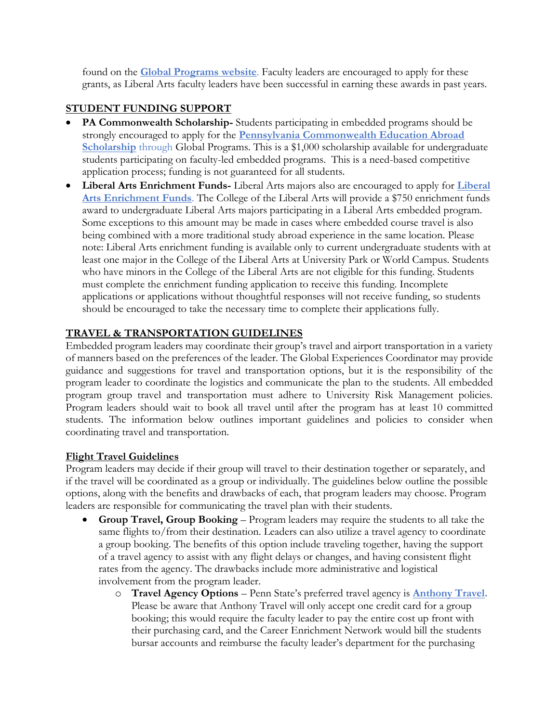found on the **[Global Programs](https://global.psu.edu/node/168) website**. Faculty leaders are encouraged to apply for these grants, as Liberal Arts faculty leaders have been successful in earning these awards in past years.

### **STUDENT FUNDING SUPPORT**

- **PA Commonwealth Scholarship-** Students participating in embedded programs should be strongly encouraged to apply for the **[Pennsylvania Commonwealth Education Abroad](https://global.psu.edu/node/397)  [Scholarship](https://global.psu.edu/node/397)** through Global Programs. This is a \$1,000 scholarship available for undergraduate students participating on faculty-led embedded programs. This is a need-based competitive application process; funding is not guaranteed for all students.
- **Liberal Arts Enrichment Funds-** Liberal Arts majors also are encouraged to apply for **[Liberal](http://www.la.psu.edu/current-students/cen/funding/apply)  [Arts Enrichment Funds](http://www.la.psu.edu/current-students/cen/funding/apply)**. The College of the Liberal Arts will provide a \$750 enrichment funds award to undergraduate Liberal Arts majors participating in a Liberal Arts embedded program. Some exceptions to this amount may be made in cases where embedded course travel is also being combined with a more traditional study abroad experience in the same location. Please note: Liberal Arts enrichment funding is available only to current undergraduate students with at least one major in the College of the Liberal Arts at University Park or World Campus. Students who have minors in the College of the Liberal Arts are not eligible for this funding. Students must complete the enrichment funding application to receive this funding. Incomplete applications or applications without thoughtful responses will not receive funding, so students should be encouraged to take the necessary time to complete their applications fully.

# **TRAVEL & TRANSPORTATION GUIDELINES**

Embedded program leaders may coordinate their group's travel and airport transportation in a variety of manners based on the preferences of the leader. The Global Experiences Coordinator may provide guidance and suggestions for travel and transportation options, but it is the responsibility of the program leader to coordinate the logistics and communicate the plan to the students. All embedded program group travel and transportation must adhere to University Risk Management policies. Program leaders should wait to book all travel until after the program has at least 10 committed students. The information below outlines important guidelines and policies to consider when coordinating travel and transportation.

### **Flight Travel Guidelines**

Program leaders may decide if their group will travel to their destination together or separately, and if the travel will be coordinated as a group or individually. The guidelines below outline the possible options, along with the benefits and drawbacks of each, that program leaders may choose. Program leaders are responsible for communicating the travel plan with their students.

- **Group Travel, Group Booking** Program leaders may require the students to all take the same flights to/from their destination. Leaders can also utilize a travel agency to coordinate a group booking. The benefits of this option include traveling together, having the support of a travel agency to assist with any flight delays or changes, and having consistent flight rates from the agency. The drawbacks include more administrative and logistical involvement from the program leader.
	- o **Travel Agency Options** Penn State's preferred travel agency is **[Anthony Travel.](https://travel.psu.edu/features/anthony-travel-preferred-travel-agency-penn-state-employees)** Please be aware that Anthony Travel will only accept one credit card for a group booking; this would require the faculty leader to pay the entire cost up front with their purchasing card, and the Career Enrichment Network would bill the students bursar accounts and reimburse the faculty leader's department for the purchasing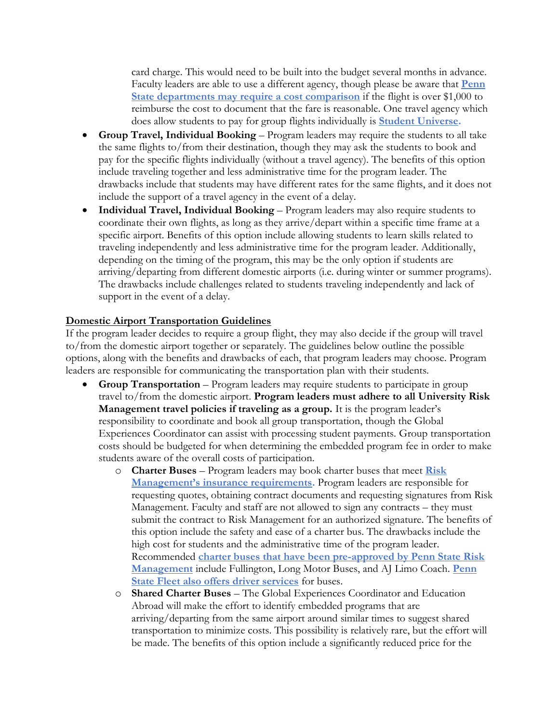card charge. This would need to be built into the budget several months in advance. Faculty leaders are able to use a different agency, though please be aware that **[Penn](https://travel.psu.edu/sites/travel/files/airfare_booking_grid_9-2017_updated.pdf)  [State departments may require a cost comparison](https://travel.psu.edu/sites/travel/files/airfare_booking_grid_9-2017_updated.pdf)** if the flight is over \$1,000 to reimburse the cost to document that the fare is reasonable. One travel agency which does allow students to pay for group flights individually is **[Student Universe.](https://www.studentuniverse.com/group-travel)**

- **Group Travel, Individual Booking** Program leaders may require the students to all take the same flights to/from their destination, though they may ask the students to book and pay for the specific flights individually (without a travel agency). The benefits of this option include traveling together and less administrative time for the program leader. The drawbacks include that students may have different rates for the same flights, and it does not include the support of a travel agency in the event of a delay.
- **Individual Travel, Individual Booking** Program leaders may also require students to coordinate their own flights, as long as they arrive/depart within a specific time frame at a specific airport. Benefits of this option include allowing students to learn skills related to traveling independently and less administrative time for the program leader. Additionally, depending on the timing of the program, this may be the only option if students are arriving/departing from different domestic airports (i.e. during winter or summer programs). The drawbacks include challenges related to students traveling independently and lack of support in the event of a delay.

### **Domestic Airport Transportation Guidelines**

If the program leader decides to require a group flight, they may also decide if the group will travel to/from the domestic airport together or separately. The guidelines below outline the possible options, along with the benefits and drawbacks of each, that program leaders may choose. Program leaders are responsible for communicating the transportation plan with their students.

- **Group Transportation** Program leaders may require students to participate in group travel to/from the domestic airport. **Program leaders must adhere to all University Risk Management travel policies if traveling as a group.** It is the program leader's responsibility to coordinate and book all group transportation, though the Global Experiences Coordinator can assist with processing student payments. Group transportation costs should be budgeted for when determining the embedded program fee in order to make students aware of the overall costs of participation.
	- o **Charter Buses** Program leaders may book charter buses that meet **[Risk](https://controller.psu.edu/insurance-requirement-charter-bus-companies)  [Management's insurance requirements](https://controller.psu.edu/insurance-requirement-charter-bus-companies).** Program leaders are responsible for requesting quotes, obtaining contract documents and requesting signatures from Risk Management. Faculty and staff are not allowed to sign any contracts – they must submit the contract to Risk Management for an authorized signature. The benefits of this option include the safety and ease of a charter bus. The drawbacks include the high cost for students and the administrative time of the program leader. Recommended **[charter buses that have been pre-approved by Penn State Risk](https://controller.psu.edu/risk-management/vendors/bus-lines)  [Management](https://controller.psu.edu/risk-management/vendors/bus-lines)** include Fullington, Long Motor Buses, and AJ Limo Coach. **[Penn](https://transportation.psu.edu/driver-services)  [State Fleet also offers driver services](https://transportation.psu.edu/driver-services)** for buses.
	- o **Shared Charter Buses** The Global Experiences Coordinator and Education Abroad will make the effort to identify embedded programs that are arriving/departing from the same airport around similar times to suggest shared transportation to minimize costs. This possibility is relatively rare, but the effort will be made. The benefits of this option include a significantly reduced price for the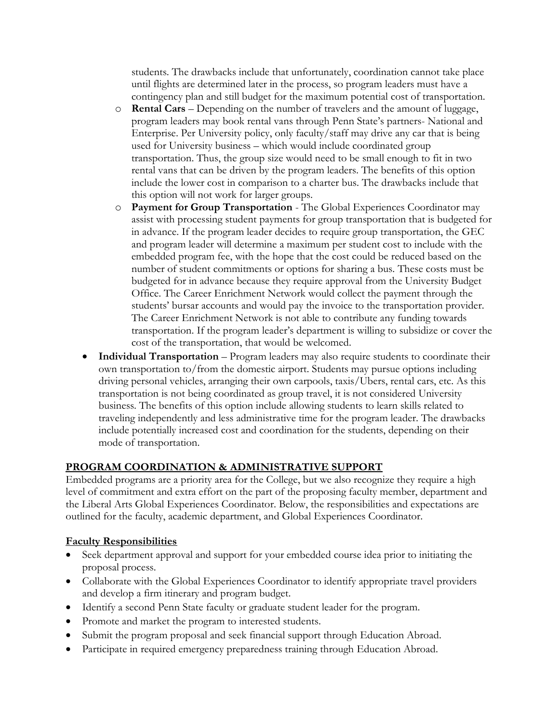students. The drawbacks include that unfortunately, coordination cannot take place until flights are determined later in the process, so program leaders must have a contingency plan and still budget for the maximum potential cost of transportation.

- o **Rental Cars** Depending on the number of travelers and the amount of luggage, program leaders may book rental vans through Penn State's partners- National and Enterprise. Per University policy, only faculty/staff may drive any car that is being used for University business – which would include coordinated group transportation. Thus, the group size would need to be small enough to fit in two rental vans that can be driven by the program leaders. The benefits of this option include the lower cost in comparison to a charter bus. The drawbacks include that this option will not work for larger groups.
- o **Payment for Group Transportation**  The Global Experiences Coordinator may assist with processing student payments for group transportation that is budgeted for in advance. If the program leader decides to require group transportation, the GEC and program leader will determine a maximum per student cost to include with the embedded program fee, with the hope that the cost could be reduced based on the number of student commitments or options for sharing a bus. These costs must be budgeted for in advance because they require approval from the University Budget Office. The Career Enrichment Network would collect the payment through the students' bursar accounts and would pay the invoice to the transportation provider. The Career Enrichment Network is not able to contribute any funding towards transportation. If the program leader's department is willing to subsidize or cover the cost of the transportation, that would be welcomed.
- **Individual Transportation** Program leaders may also require students to coordinate their own transportation to/from the domestic airport. Students may pursue options including driving personal vehicles, arranging their own carpools, taxis/Ubers, rental cars, etc. As this transportation is not being coordinated as group travel, it is not considered University business. The benefits of this option include allowing students to learn skills related to traveling independently and less administrative time for the program leader. The drawbacks include potentially increased cost and coordination for the students, depending on their mode of transportation.

# **PROGRAM COORDINATION & ADMINISTRATIVE SUPPORT**

Embedded programs are a priority area for the College, but we also recognize they require a high level of commitment and extra effort on the part of the proposing faculty member, department and the Liberal Arts Global Experiences Coordinator. Below, the responsibilities and expectations are outlined for the faculty, academic department, and Global Experiences Coordinator.

# **Faculty Responsibilities**

- Seek department approval and support for your embedded course idea prior to initiating the proposal process.
- Collaborate with the Global Experiences Coordinator to identify appropriate travel providers and develop a firm itinerary and program budget.
- Identify a second Penn State faculty or graduate student leader for the program.
- Promote and market the program to interested students.
- Submit the program proposal and seek financial support through Education Abroad.
- Participate in required emergency preparedness training through Education Abroad.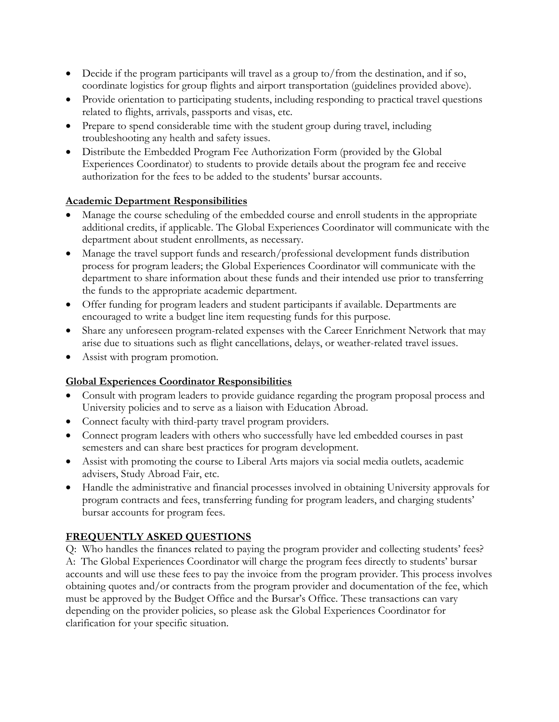- Decide if the program participants will travel as a group to/from the destination, and if so, coordinate logistics for group flights and airport transportation (guidelines provided above).
- Provide orientation to participating students, including responding to practical travel questions related to flights, arrivals, passports and visas, etc.
- Prepare to spend considerable time with the student group during travel, including troubleshooting any health and safety issues.
- Distribute the Embedded Program Fee Authorization Form (provided by the Global Experiences Coordinator) to students to provide details about the program fee and receive authorization for the fees to be added to the students' bursar accounts.

### **Academic Department Responsibilities**

- Manage the course scheduling of the embedded course and enroll students in the appropriate additional credits, if applicable. The Global Experiences Coordinator will communicate with the department about student enrollments, as necessary.
- Manage the travel support funds and research/professional development funds distribution process for program leaders; the Global Experiences Coordinator will communicate with the department to share information about these funds and their intended use prior to transferring the funds to the appropriate academic department.
- Offer funding for program leaders and student participants if available. Departments are encouraged to write a budget line item requesting funds for this purpose.
- Share any unforeseen program-related expenses with the Career Enrichment Network that may arise due to situations such as flight cancellations, delays, or weather-related travel issues.
- Assist with program promotion.

# **Global Experiences Coordinator Responsibilities**

- Consult with program leaders to provide guidance regarding the program proposal process and University policies and to serve as a liaison with Education Abroad.
- Connect faculty with third-party travel program providers.
- Connect program leaders with others who successfully have led embedded courses in past semesters and can share best practices for program development.
- Assist with promoting the course to Liberal Arts majors via social media outlets, academic advisers, Study Abroad Fair, etc.
- Handle the administrative and financial processes involved in obtaining University approvals for program contracts and fees, transferring funding for program leaders, and charging students' bursar accounts for program fees.

# **FREQUENTLY ASKED QUESTIONS**

Q: Who handles the finances related to paying the program provider and collecting students' fees? A: The Global Experiences Coordinator will charge the program fees directly to students' bursar accounts and will use these fees to pay the invoice from the program provider. This process involves obtaining quotes and/or contracts from the program provider and documentation of the fee, which must be approved by the Budget Office and the Bursar's Office. These transactions can vary depending on the provider policies, so please ask the Global Experiences Coordinator for clarification for your specific situation.